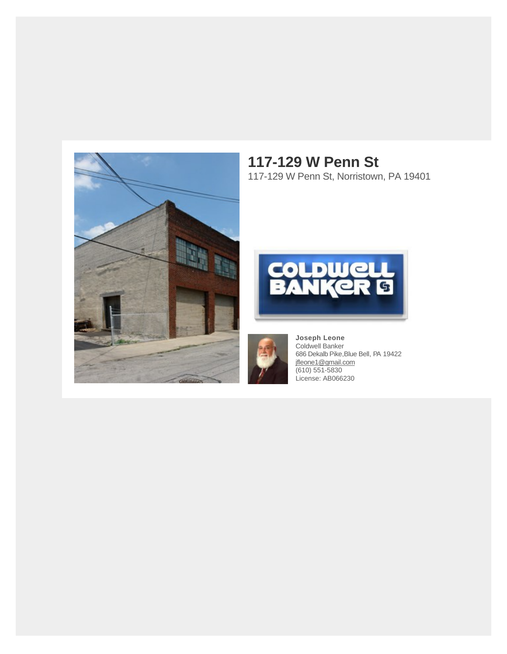

### **117-129 W Penn St** 117-129 W Penn St, Norristown, PA 19401





**Joseph Leone** Coldwell Banker 686 Dekalb Pike,Blue Bell, PA 19422 [jfleone1@gmail.com](https://mail.google.com/mail/?view=cm&fs=1&tf=1&to=jfleone1@gmail.com) (610) 551-5830 License: AB066230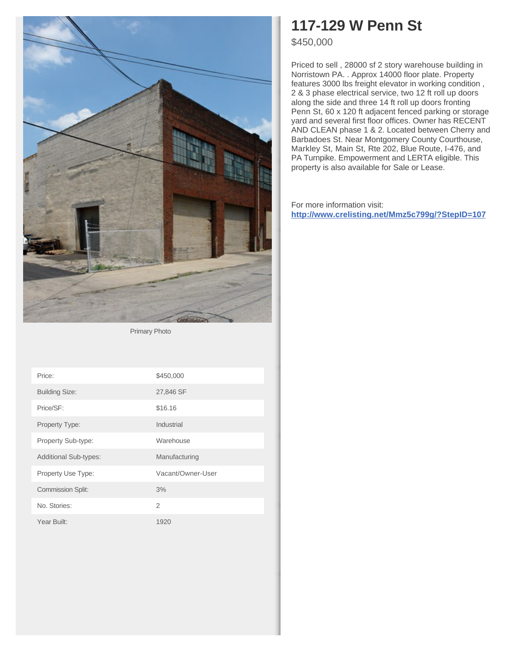

Primary Photo

| Price:                       | \$450,000         |
|------------------------------|-------------------|
| <b>Building Size:</b>        | 27,846 SF         |
| Price/SF:                    | \$16.16           |
| Property Type:               | Industrial        |
| Property Sub-type:           | Warehouse         |
| <b>Additional Sub-types:</b> | Manufacturing     |
| Property Use Type:           | Vacant/Owner-User |
| <b>Commission Split:</b>     | 3%                |
| No. Stories:                 | $\overline{2}$    |
| Year Built:                  | 1920              |

### **117-129 W Penn St**

\$450,000

Priced to sell , 28000 sf 2 story warehouse building in Norristown PA. . Approx 14000 floor plate. Property features 3000 lbs freight elevator in working condition , 2 & 3 phase electrical service, two 12 ft roll up doors along the side and three 14 ft roll up doors fronting Penn St, 60 x 120 ft adjacent fenced parking or storage yard and several first floor offices. Owner has RECENT AND CLEAN phase 1 & 2. Located between Cherry and Barbadoes St. Near Montgomery County Courthouse, Markley St, Main St, Rte 202, Blue Route, I-476, and PA Turnpike. Empowerment and LERTA eligible. This property is also available for Sale or Lease.

For more information visit: **<http://www.crelisting.net/Mmz5c799g/?StepID=107>**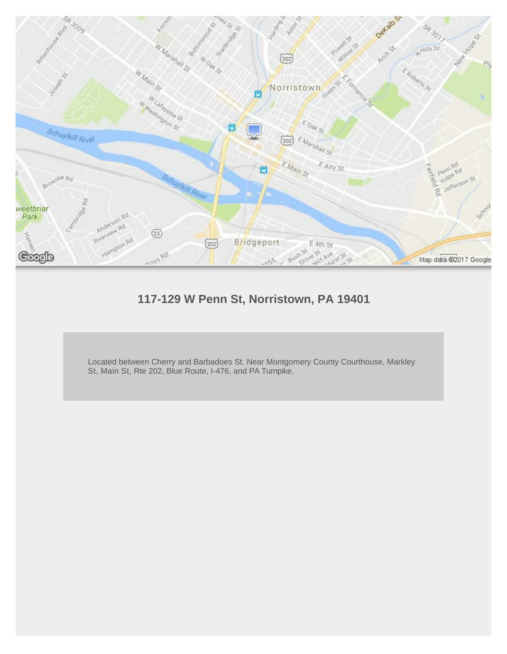

### **117-129 W Penn St, Norristown, PA 19401**

Located between Cherry and Barbadoes St. Near Montgomery County Courthouse, Markley St, Main St, Rte 202, Blue Route, I-476, and PA Turnpike.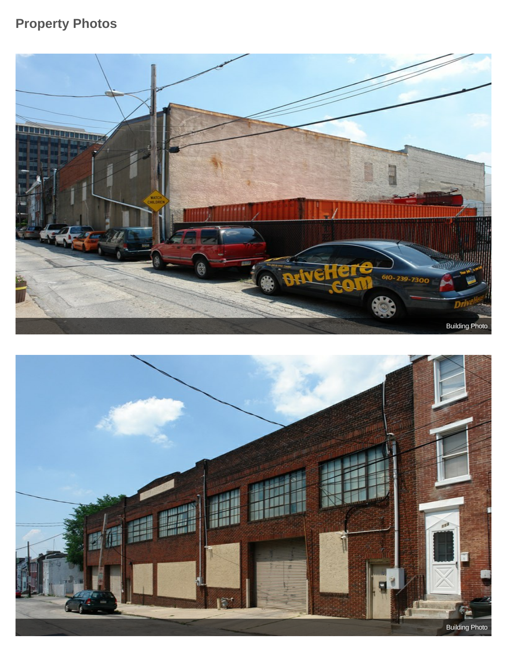### **Property Photos**



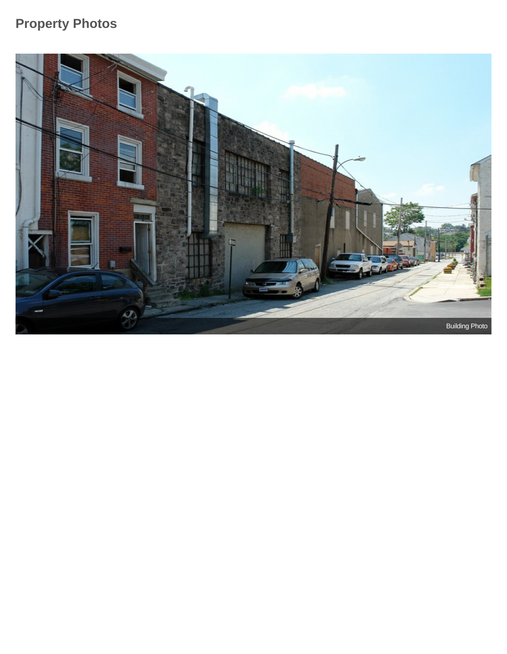### **Property Photos**

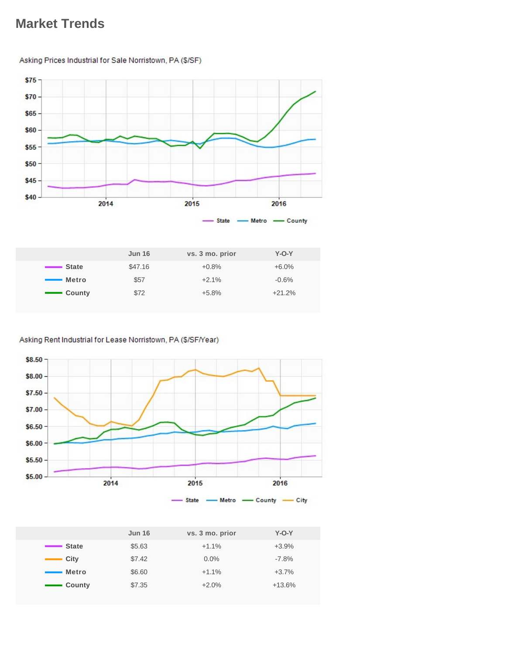### **Market Trends**

### $$75$  $$70$  $$65$ \$60  $$55$  $$50$  $$45$ \$40 2014 2015 2016 -State - Metro - County

Asking Prices Industrial for Sale Norristown, PA (\$/SF)

|               | <b>Jun 16</b> | vs. 3 mo. prior | $Y-O-Y$  |
|---------------|---------------|-----------------|----------|
| ■ State       | \$47.16       | $+0.8%$         | $+6.0\%$ |
| <b>Metro</b>  | \$57          | $+2.1%$         | $-0.6%$  |
| <b>County</b> | \$72          | $+5.8%$         | $+21.2%$ |
|               |               |                 |          |

#### Asking Rent Industrial for Lease Norristown, PA (\$/SF/Year)



|                                      | <b>Jun 16</b> | vs. 3 mo. prior | $Y-O-Y$  |
|--------------------------------------|---------------|-----------------|----------|
| State                                | \$5.63        | $+1.1%$         | $+3.9%$  |
| $\equiv$ City                        | \$7.42        | $0.0\%$         | $-7.8%$  |
| Metro                                | \$6.60        | $+1.1%$         | $+3.7%$  |
| - County<br><b>Contract Contract</b> | \$7.35        | $+2.0%$         | $+13.6%$ |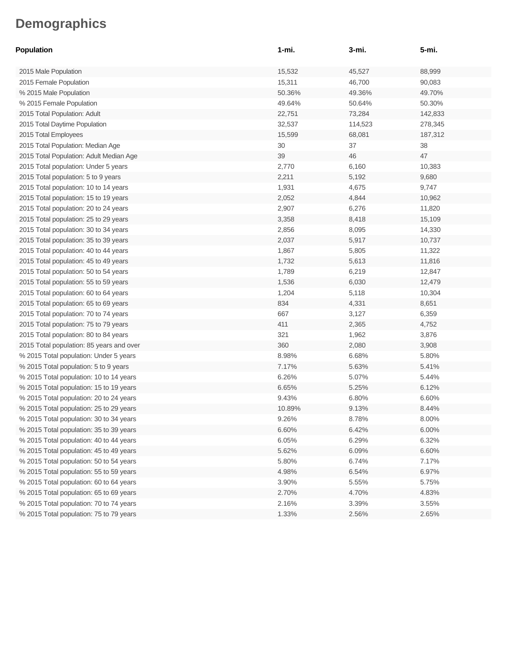| Population                               | 1-mi.  | 3-mi.   | 5-mi.   |
|------------------------------------------|--------|---------|---------|
| 2015 Male Population                     | 15,532 | 45,527  | 88,999  |
| 2015 Female Population                   | 15,311 | 46,700  | 90,083  |
| % 2015 Male Population                   | 50.36% | 49.36%  | 49.70%  |
| % 2015 Female Population                 | 49.64% | 50.64%  | 50.30%  |
| 2015 Total Population: Adult             | 22,751 | 73,284  | 142,833 |
| 2015 Total Daytime Population            | 32,537 | 114,523 | 278,345 |
| 2015 Total Employees                     | 15,599 | 68,081  | 187,312 |
| 2015 Total Population: Median Age        | 30     | 37      | 38      |
| 2015 Total Population: Adult Median Age  | 39     | 46      | 47      |
| 2015 Total population: Under 5 years     | 2,770  | 6,160   | 10,383  |
| 2015 Total population: 5 to 9 years      | 2,211  | 5,192   | 9,680   |
| 2015 Total population: 10 to 14 years    | 1,931  | 4,675   | 9,747   |
| 2015 Total population: 15 to 19 years    | 2,052  | 4,844   | 10,962  |
| 2015 Total population: 20 to 24 years    | 2,907  | 6,276   | 11,820  |
| 2015 Total population: 25 to 29 years    | 3,358  | 8,418   | 15,109  |
| 2015 Total population: 30 to 34 years    | 2,856  | 8,095   | 14,330  |
| 2015 Total population: 35 to 39 years    | 2,037  | 5,917   | 10,737  |
| 2015 Total population: 40 to 44 years    | 1,867  | 5,805   | 11,322  |
| 2015 Total population: 45 to 49 years    | 1,732  | 5,613   | 11,816  |
| 2015 Total population: 50 to 54 years    | 1,789  | 6,219   | 12,847  |
| 2015 Total population: 55 to 59 years    | 1,536  | 6,030   | 12,479  |
| 2015 Total population: 60 to 64 years    | 1,204  | 5,118   | 10,304  |
| 2015 Total population: 65 to 69 years    | 834    | 4,331   | 8,651   |
| 2015 Total population: 70 to 74 years    | 667    | 3,127   | 6,359   |
| 2015 Total population: 75 to 79 years    | 411    | 2,365   | 4,752   |
| 2015 Total population: 80 to 84 years    | 321    | 1,962   | 3,876   |
| 2015 Total population: 85 years and over | 360    | 2,080   | 3,908   |
| % 2015 Total population: Under 5 years   | 8.98%  | 6.68%   | 5.80%   |
| % 2015 Total population: 5 to 9 years    | 7.17%  | 5.63%   | 5.41%   |
| % 2015 Total population: 10 to 14 years  | 6.26%  | 5.07%   | 5.44%   |
| % 2015 Total population: 15 to 19 years  | 6.65%  | 5.25%   | 6.12%   |
| % 2015 Total population: 20 to 24 years  | 9.43%  | 6.80%   | 6.60%   |
| % 2015 Total population: 25 to 29 years  | 10.89% | 9.13%   | 8.44%   |
| % 2015 Total population: 30 to 34 years  | 9.26%  | 8.78%   | 8.00%   |
| % 2015 Total population: 35 to 39 years  | 6.60%  | 6.42%   | 6.00%   |
| % 2015 Total population: 40 to 44 years  | 6.05%  | 6.29%   | 6.32%   |
| % 2015 Total population: 45 to 49 years  | 5.62%  | 6.09%   | 6.60%   |
| % 2015 Total population: 50 to 54 years  | 5.80%  | 6.74%   | 7.17%   |
| % 2015 Total population: 55 to 59 years  | 4.98%  | 6.54%   | 6.97%   |
| % 2015 Total population: 60 to 64 years  | 3.90%  | 5.55%   | 5.75%   |
| % 2015 Total population: 65 to 69 years  | 2.70%  | 4.70%   | 4.83%   |
| % 2015 Total population: 70 to 74 years  | 2.16%  | 3.39%   | 3.55%   |
| % 2015 Total population: 75 to 79 years  | 1.33%  | 2.56%   | 2.65%   |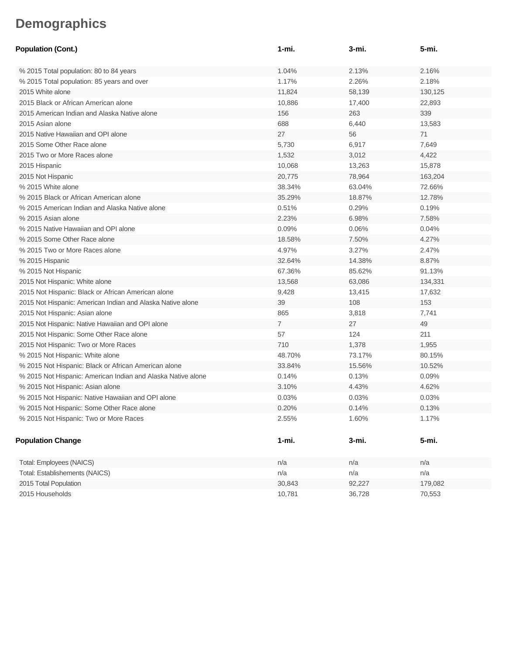| <b>Population (Cont.)</b>                                    | 1-mi.          | 3-mi.  | 5-mi.   |
|--------------------------------------------------------------|----------------|--------|---------|
| % 2015 Total population: 80 to 84 years                      | 1.04%          | 2.13%  | 2.16%   |
| % 2015 Total population: 85 years and over                   | 1.17%          | 2.26%  | 2.18%   |
| 2015 White alone                                             | 11,824         | 58,139 | 130,125 |
| 2015 Black or African American alone                         | 10,886         | 17,400 | 22,893  |
| 2015 American Indian and Alaska Native alone                 | 156            | 263    | 339     |
| 2015 Asian alone                                             | 688            | 6,440  | 13,583  |
| 2015 Native Hawaiian and OPI alone                           | 27             | 56     | 71      |
| 2015 Some Other Race alone                                   | 5,730          | 6,917  | 7,649   |
| 2015 Two or More Races alone                                 | 1,532          | 3,012  | 4,422   |
| 2015 Hispanic                                                | 10,068         | 13,263 | 15,878  |
| 2015 Not Hispanic                                            | 20,775         | 78,964 | 163,204 |
| % 2015 White alone                                           | 38.34%         | 63.04% | 72.66%  |
| % 2015 Black or African American alone                       | 35.29%         | 18.87% | 12.78%  |
| % 2015 American Indian and Alaska Native alone               | 0.51%          | 0.29%  | 0.19%   |
| % 2015 Asian alone                                           | 2.23%          | 6.98%  | 7.58%   |
| % 2015 Native Hawaiian and OPI alone                         | 0.09%          | 0.06%  | 0.04%   |
| % 2015 Some Other Race alone                                 | 18.58%         | 7.50%  | 4.27%   |
| % 2015 Two or More Races alone                               | 4.97%          | 3.27%  | 2.47%   |
| % 2015 Hispanic                                              | 32.64%         | 14.38% | 8.87%   |
| % 2015 Not Hispanic                                          | 67.36%         | 85.62% | 91.13%  |
| 2015 Not Hispanic: White alone                               | 13,568         | 63,086 | 134,331 |
| 2015 Not Hispanic: Black or African American alone           | 9,428          | 13,415 | 17,632  |
| 2015 Not Hispanic: American Indian and Alaska Native alone   | 39             | 108    | 153     |
| 2015 Not Hispanic: Asian alone                               | 865            | 3,818  | 7,741   |
| 2015 Not Hispanic: Native Hawaiian and OPI alone             | $\overline{7}$ | 27     | 49      |
| 2015 Not Hispanic: Some Other Race alone                     | 57             | 124    | 211     |
| 2015 Not Hispanic: Two or More Races                         | 710            | 1,378  | 1,955   |
| % 2015 Not Hispanic: White alone                             | 48.70%         | 73.17% | 80.15%  |
| % 2015 Not Hispanic: Black or African American alone         | 33.84%         | 15.56% | 10.52%  |
| % 2015 Not Hispanic: American Indian and Alaska Native alone | 0.14%          | 0.13%  | 0.09%   |
| % 2015 Not Hispanic: Asian alone                             | 3.10%          | 4.43%  | 4.62%   |
| % 2015 Not Hispanic: Native Hawaiian and OPI alone           | 0.03%          | 0.03%  | 0.03%   |
| % 2015 Not Hispanic: Some Other Race alone                   | 0.20%          | 0.14%  | 0.13%   |
| % 2015 Not Hispanic: Two or More Races                       | 2.55%          | 1.60%  | 1.17%   |
| <b>Population Change</b>                                     | $1 - mi.$      | 3-mi.  | 5-mi.   |
| Total: Employees (NAICS)                                     | n/a            | n/a    | n/a     |
| Total: Establishements (NAICS)                               | n/a            | n/a    | n/a     |
| 2015 Total Population                                        | 30,843         | 92,227 | 179,082 |
| 2015 Households                                              | 10,781         | 36,728 | 70,553  |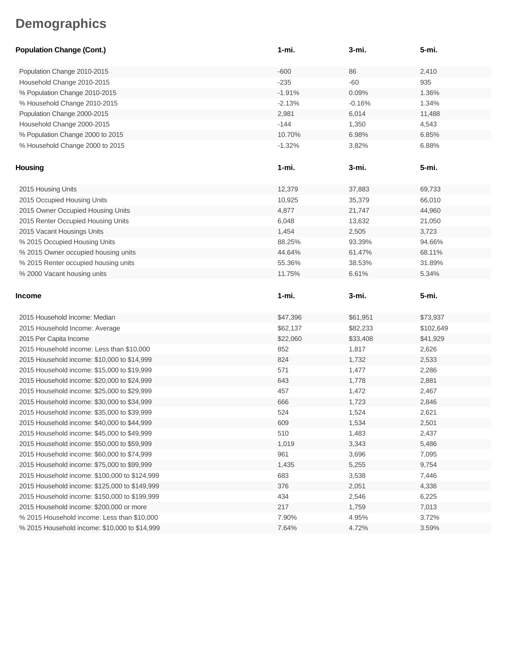| <b>Population Change (Cont.)</b>              | $1 - mi.$ | 3-mi.    | 5-mi.     |
|-----------------------------------------------|-----------|----------|-----------|
| Population Change 2010-2015                   | $-600$    | 86       | 2,410     |
| Household Change 2010-2015                    | $-235$    | $-60$    | 935       |
| % Population Change 2010-2015                 | $-1.91%$  | 0.09%    | 1.36%     |
| % Household Change 2010-2015                  | $-2.13%$  | $-0.16%$ | 1.34%     |
| Population Change 2000-2015                   | 2,981     | 6,014    | 11,488    |
| Household Change 2000-2015                    | $-144$    | 1,350    | 4,543     |
| % Population Change 2000 to 2015              | 10.70%    | 6.98%    | 6.85%     |
| % Household Change 2000 to 2015               | $-1.32%$  | 3.82%    | 6.88%     |
| <b>Housing</b>                                | 1-mi.     | 3-mi.    | 5-mi.     |
| 2015 Housing Units                            | 12,379    | 37,883   | 69,733    |
| 2015 Occupied Housing Units                   | 10,925    | 35,379   | 66,010    |
| 2015 Owner Occupied Housing Units             | 4,877     | 21,747   | 44,960    |
| 2015 Renter Occupied Housing Units            | 6,048     | 13,632   | 21,050    |
| 2015 Vacant Housings Units                    | 1,454     | 2,505    | 3,723     |
| % 2015 Occupied Housing Units                 | 88.25%    | 93.39%   | 94.66%    |
| % 2015 Owner occupied housing units           | 44.64%    | 61.47%   | 68.11%    |
| % 2015 Renter occupied housing units          | 55.36%    | 38.53%   | 31.89%    |
| % 2000 Vacant housing units                   | 11.75%    | 6.61%    | 5.34%     |
|                                               |           |          |           |
|                                               |           |          |           |
| <b>Income</b>                                 | $1 - mi.$ | 3-mi.    | 5-mi.     |
| 2015 Household Income: Median                 | \$47,396  | \$61,951 | \$73,937  |
| 2015 Household Income: Average                | \$62,137  | \$82,233 | \$102,649 |
| 2015 Per Capita Income                        | \$22,060  | \$33,408 | \$41,929  |
| 2015 Household income: Less than \$10,000     | 852       | 1,817    | 2,626     |
| 2015 Household income: \$10,000 to \$14,999   | 824       | 1,732    | 2,533     |
| 2015 Household income: \$15,000 to \$19,999   | 571       | 1,477    | 2,286     |
| 2015 Household income: \$20,000 to \$24,999   | 643       | 1,778    | 2,881     |
| 2015 Household income: \$25,000 to \$29,999   | 457       | 1,472    | 2,467     |
| 2015 Household income: \$30,000 to \$34,999   | 666       | 1,723    | 2,846     |
| 2015 Household income: \$35,000 to \$39,999   | 524       | 1,524    | 2,621     |
| 2015 Household income: \$40,000 to \$44,999   | 609       | 1,534    | 2,501     |
| 2015 Household income: \$45,000 to \$49,999   | 510       | 1,483    | 2,437     |
| 2015 Household income: \$50,000 to \$59,999   | 1,019     | 3,343    | 5,486     |
| 2015 Household income: \$60,000 to \$74,999   | 961       | 3,696    | 7,095     |
| 2015 Household income: \$75,000 to \$99,999   | 1,435     | 5,255    | 9,754     |
| 2015 Household income: \$100,000 to \$124,999 | 683       | 3,538    | 7,446     |
| 2015 Household income: \$125,000 to \$149,999 | 376       | 2,051    | 4,336     |
| 2015 Household income: \$150,000 to \$199,999 | 434       | 2,546    | 6,225     |
| 2015 Household income: \$200,000 or more      | 217       | 1,759    | 7,013     |
| % 2015 Household income: Less than \$10,000   | 7.90%     | 4.95%    | 3.72%     |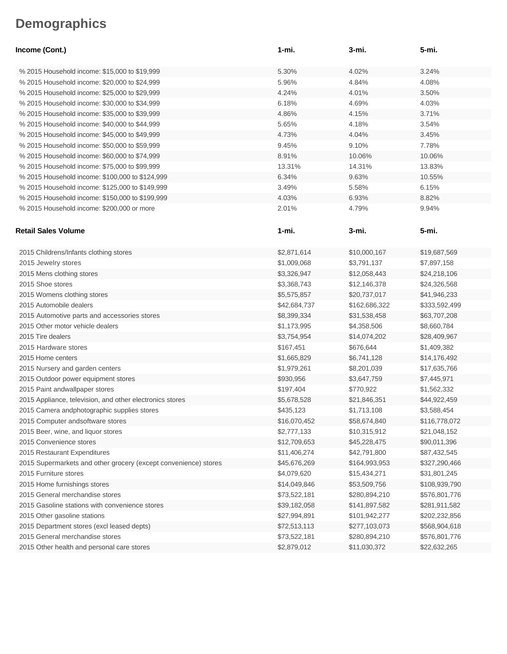| Income (Cont.)                                                  | 1-mi.        | 3-mi.         | 5-mi.         |
|-----------------------------------------------------------------|--------------|---------------|---------------|
| % 2015 Household income: \$15,000 to \$19,999                   | 5.30%        | 4.02%         | 3.24%         |
| % 2015 Household income: \$20,000 to \$24,999                   | 5.96%        | 4.84%         | 4.08%         |
| % 2015 Household income: \$25,000 to \$29,999                   | 4.24%        | 4.01%         | 3.50%         |
| % 2015 Household income: \$30,000 to \$34,999                   | 6.18%        | 4.69%         | 4.03%         |
| % 2015 Household income: \$35,000 to \$39,999                   | 4.86%        | 4.15%         | 3.71%         |
| % 2015 Household income: \$40,000 to \$44,999                   | 5.65%        | 4.18%         | 3.54%         |
| % 2015 Household income: \$45,000 to \$49,999                   | 4.73%        | 4.04%         | 3.45%         |
| % 2015 Household income: \$50,000 to \$59,999                   | 9.45%        | 9.10%         | 7.78%         |
| % 2015 Household income: \$60,000 to \$74,999                   | 8.91%        | 10.06%        | 10.06%        |
| % 2015 Household income: \$75,000 to \$99,999                   | 13.31%       | 14.31%        | 13.83%        |
| % 2015 Household income: \$100,000 to \$124,999                 | 6.34%        | 9.63%         | 10.55%        |
| % 2015 Household income: \$125,000 to \$149,999                 | 3.49%        | 5.58%         | 6.15%         |
| % 2015 Household income: \$150,000 to \$199,999                 | 4.03%        | 6.93%         | 8.82%         |
| % 2015 Household income: \$200,000 or more                      | 2.01%        | 4.79%         | 9.94%         |
|                                                                 |              |               |               |
| <b>Retail Sales Volume</b>                                      | 1-mi.        | 3-mi.         | 5-mi.         |
| 2015 Childrens/Infants clothing stores                          | \$2,871,614  | \$10,000,167  | \$19,687,569  |
| 2015 Jewelry stores                                             | \$1,009,068  | \$3,791,137   | \$7,897,158   |
| 2015 Mens clothing stores                                       | \$3,326,947  | \$12,058,443  | \$24,218,106  |
| 2015 Shoe stores                                                | \$3,368,743  | \$12,146,378  | \$24,326,568  |
| 2015 Womens clothing stores                                     | \$5,575,857  | \$20,737,017  | \$41,946,233  |
| 2015 Automobile dealers                                         | \$42,684,737 | \$162,686,322 | \$333,592,499 |
| 2015 Automotive parts and accessories stores                    | \$8,399,334  | \$31,538,458  | \$63,707,208  |
| 2015 Other motor vehicle dealers                                | \$1,173,995  | \$4,358,506   | \$8,660,784   |
| 2015 Tire dealers                                               | \$3,754,954  | \$14,074,202  | \$28,409,967  |
| 2015 Hardware stores                                            | \$167,451    | \$676,644     | \$1,409,382   |
| 2015 Home centers                                               | \$1,665,829  | \$6,741,128   | \$14,176,492  |
| 2015 Nursery and garden centers                                 | \$1,979,261  | \$8,201,039   | \$17,635,766  |
| 2015 Outdoor power equipment stores                             | \$930,956    | \$3,647,759   | \$7,445,971   |
| 2015 Paint andwallpaper stores                                  | \$197,404    | \$770,922     | \$1,562,332   |
| 2015 Appliance, television, and other electronics stores        | \$5,678,528  | \$21,846,351  | \$44,922,459  |
| 2015 Camera andphotographic supplies stores                     | \$435,123    | \$1,713,108   | \$3,588,454   |
| 2015 Computer andsoftware stores                                | \$16,070,452 | \$58,674,840  | \$116,778,072 |
| 2015 Beer, wine, and liquor stores                              | \$2,777,133  | \$10,315,912  | \$21,048,152  |
| 2015 Convenience stores                                         | \$12,709,653 | \$45,228,475  | \$90,011,396  |
| 2015 Restaurant Expenditures                                    | \$11,406,274 | \$42,791,800  | \$87,432,545  |
| 2015 Supermarkets and other grocery (except convenience) stores | \$45,676,269 | \$164,993,953 | \$327,290,466 |
| 2015 Furniture stores                                           | \$4,079,620  | \$15,434,271  | \$31,801,245  |
| 2015 Home furnishings stores                                    | \$14,049,846 | \$53,509,756  | \$108,939,790 |
| 2015 General merchandise stores                                 | \$73,522,181 | \$280,894,210 | \$576,801,776 |
| 2015 Gasoline stations with convenience stores                  | \$39,182,058 | \$141,897,582 | \$281,911,582 |
| 2015 Other gasoline stations                                    | \$27,994,891 | \$101,942,277 | \$202,232,856 |
| 2015 Department stores (excl leased depts)                      | \$72,513,113 | \$277,103,073 | \$568,904,618 |
| 2015 General merchandise stores                                 | \$73,522,181 | \$280,894,210 | \$576,801,776 |
| 2015 Other health and personal care stores                      | \$2,879,012  | \$11,030,372  | \$22,632,265  |